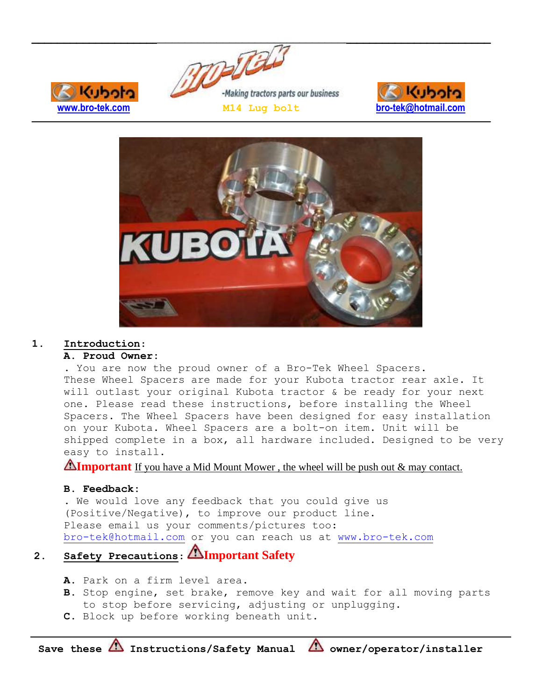







#### **1. Introduction**:

## **A. Proud Owner:**

. You are now the proud owner of a Bro-Tek Wheel Spacers. These Wheel Spacers are made for your Kubota tractor rear axle. It will outlast your original Kubota tractor & be ready for your next one. Please read these instructions, before installing the Wheel Spacers. The Wheel Spacers have been designed for easy installation on your Kubota. Wheel Spacers are a bolt-on item. Unit will be shipped complete in a box, all hardware included. Designed to be very easy to install.

**Almportant** If you have a Mid Mount Mower, the wheel will be push out & may contact.

# **B. Feedback:**

. We would love any feedback that you could give us (Positive/Negative), to improve our product line. Please email us your comments/pictures too: [bro-tek@hotmail.com](mailto:bro-tek@hotmail.com) or you can reach us at [www.bro-tek.com](http://www.bro-tek.com/)

# **2. Safety Precautions**: **Important Safety**

- **A.** Park on a firm level area.
- **B.** Stop engine, set brake, remove key and wait for all moving parts to stop before servicing, adjusting or unplugging.
- **C.** Block up before working beneath unit.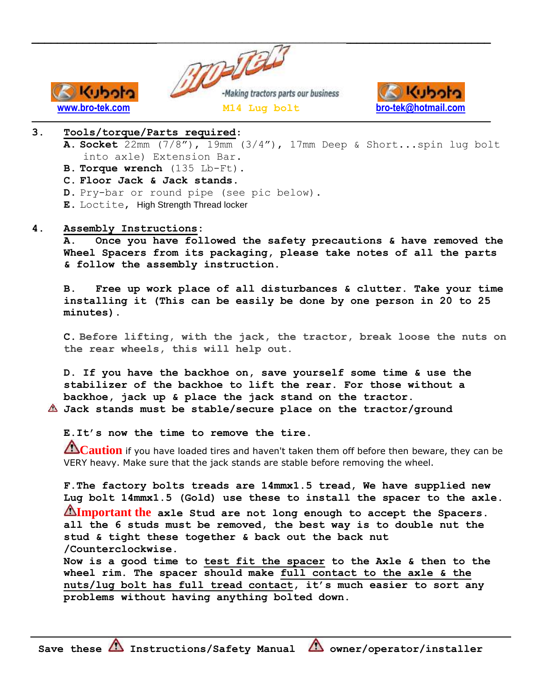



# **3. Tools/torque/Parts required**:

Kuboto

- **A. Socket** 22mm (7/8"), 19mm (3/4"), 17mm Deep & Short...spin lug bolt into axle) Extension Bar.
- **B. Torque wrench** (135 Lb-Ft).
- **C. Floor Jack & Jack stands.**
- **D.** Pry-bar or round pipe (see pic below).
- **E.** Loctite, High Strength Thread locker

## **4. Assembly Instructions:**

**A. Once you have followed the safety precautions & have removed the Wheel Spacers from its packaging, please take notes of all the parts & follow the assembly instruction.**

**B. Free up work place of all disturbances & clutter. Take your time installing it (This can be easily be done by one person in 20 to 25 minutes).**

**C. Before lifting, with the jack, the tractor, break loose the nuts on the rear wheels, this will help out.**

**D. If you have the backhoe on, save yourself some time & use the stabilizer of the backhoe to lift the rear. For those without a backhoe, jack up & place the jack stand on the tractor. Jack stands must be stable/secure place on the tractor/ground**

**E.It's now the time to remove the tire.**

**Caution** if you have loaded tires and haven't taken them off before then beware, they can be VERY heavy. Make sure that the jack stands are stable before removing the wheel.

**F.The factory bolts treads are 14mmx1.5 tread, We have supplied new Lug bolt 14mmx1.5 (Gold) use these to install the spacer to the axle. Important the axle Stud are not long enough to accept the Spacers. all the 6 studs must be removed, the best way is to double nut the stud & tight these together & back out the back nut /Counterclockwise. Now is a good time to test fit the spacer to the Axle & then to the wheel rim. The spacer should make full contact to the axle & the nuts/lug bolt has full tread contact, it's much easier to sort any problems without having anything bolted down.**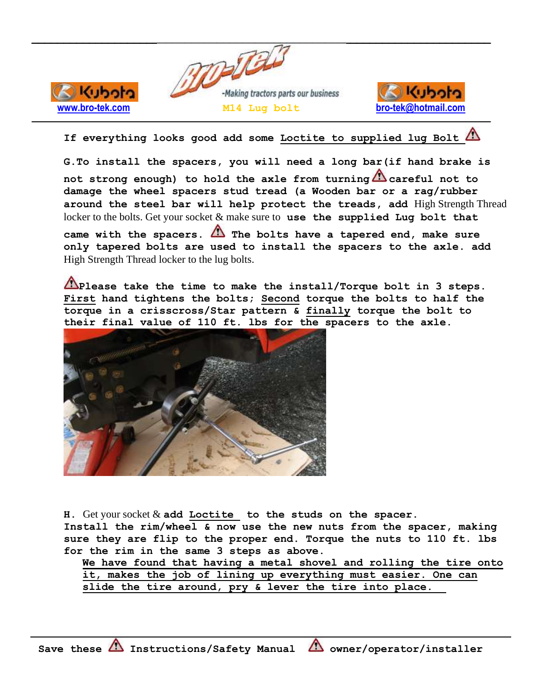

Kuboto



**If everything looks good add some Loctite to supplied lug Bolt**

**G.To install the spacers, you will need a long bar(if hand brake is not strong enough) to hold the axle from turning careful not to damage the wheel spacers stud tread (a Wooden bar or a rag/rubber around the steel bar will help protect the treads, add** High Strength Thread locker to the bolts. Get your socket & make sure to **use the supplied Lug bolt that** 

**came with the spacers. The bolts have a tapered end, make sure only tapered bolts are used to install the spacers to the axle. add**  High Strength Thread locker to the lug bolts.

**Please take the time to make the install/Torque bolt in 3 steps. First hand tightens the bolts; Second torque the bolts to half the torque in a crisscross/Star pattern & finally torque the bolt to their final value of 110 ft. lbs for the spacers to the axle.**



**H.** Get your socket & **add Loctite to the studs on the spacer. Install the rim/wheel & now use the new nuts from the spacer, making sure they are flip to the proper end. Torque the nuts to 110 ft. lbs for the rim in the same 3 steps as above.**

**We have found that having a metal shovel and rolling the tire onto it, makes the job of lining up everything must easier. One can slide the tire around, pry & lever the tire into place.**